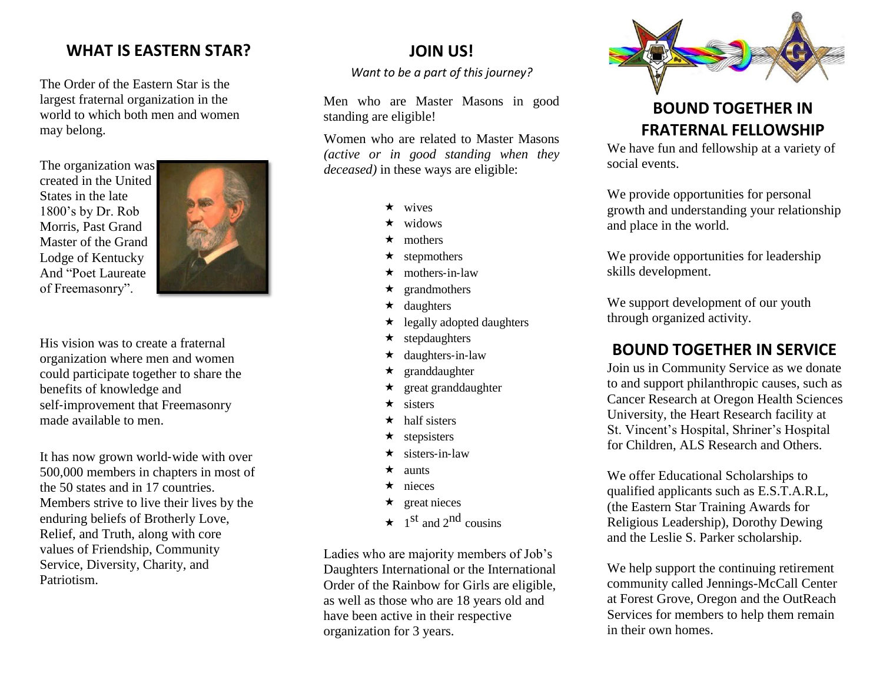#### **WHAT IS EASTERN STAR?**

The Order of the Eastern Star is the largest fraternal organization in the world to which both men and women may belong.

The organization was created in the United States in the late 1800's by Dr. Rob Morris, Past Grand Master of the Grand Lodge of Kentucky And "Poet Laureate of Freemasonry".



His vision was to create a fraternal organization where men and women could participate together to share the benefits of knowledge and self-improvement that Freemasonry made available to men.

It has now grown world‐wide with over 500,000 members in chapters in most of the 50 states and in 17 countries. Members strive to live their lives by the enduring beliefs of Brotherly Love, Relief, and Truth, along with core values of Friendship, Community Service, Diversity, Charity, and **Patriotism** 

#### **JOIN US!**

*Want to be a part of this journey?*

Men who are Master Masons in good standing are eligible!

Women who are related to Master Masons *(active or in good standing when they deceased)* in these ways are eligible:

- $\star$  wives
- widows
- mothers
- stepmothers
- $\star$  mothers-in-law
- $\star$  grandmothers
- $\star$  daughters
- $\star$  legally adopted daughters
- stepdaughters
- $\star$  daughters-in-law
- $\star$  granddaughter
- $\star$  great granddaughter
- $\star$  sisters
- $\star$  half sisters
- $\star$  stepsisters
- sisters‐in‐law
- $\star$  aunts
- $\star$  nieces
- $\star$  great nieces
- $\star$  1<sup>st</sup> and 2<sup>nd</sup> cousins

Ladies who are majority members of Job's Daughters International or the International Order of the Rainbow for Girls are eligible, as well as those who are 18 years old and have been active in their respective organization for 3 years.



# **BOUND TOGETHER IN FRATERNAL FELLOWSHIP**

We have fun and fellowship at a variety of social events.

We provide opportunities for personal growth and understanding your relationship and place in the world.

We provide opportunities for leadership skills development.

We support development of our youth through organized activity.

# **BOUND TOGETHER IN SERVICE**

Join us in Community Service as we donate to and support philanthropic causes, such as Cancer Research at Oregon Health Sciences University, the Heart Research facility at St. Vincent's Hospital, Shriner's Hospital for Children, ALS Research and Others.

We offer Educational Scholarships to qualified applicants such as E.S.T.A.R.L, (the Eastern Star Training Awards for Religious Leadership), Dorothy Dewing and the Leslie S. Parker scholarship.

We help support the continuing retirement community called Jennings-McCall Center at Forest Grove, Oregon and the OutReach Services for members to help them remain in their own homes.